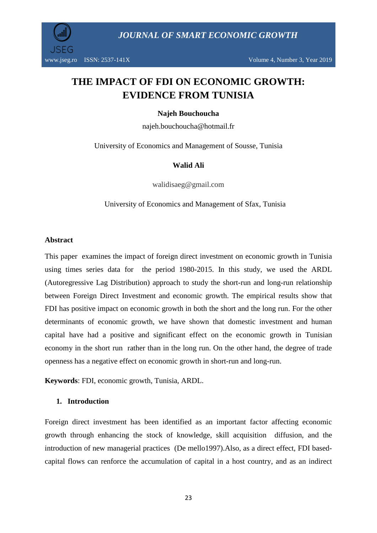

# **THE IMPACT OF FDI ON ECONOMIC GROWTH: EVIDENCE FROM TUNISIA**

#### **Najeh Bouchoucha**

najeh.bouchoucha@hotmail.fr

University of Economics and Management of Sousse, Tunisia

#### **Walid Ali**

walidisaeg@gmail.com

University of Economics and Management of Sfax, Tunisia

#### **Abstract**

This paper examines the impact of foreign direct investment on economic growth in Tunisia using times series data for the period 1980-2015. In this study, we used the ARDL (Autoregressive Lag Distribution) approach to study the short-run and long-run relationship between Foreign Direct Investment and economic growth. The empirical results show that FDI has positive impact on economic growth in both the short and the long run. For the other determinants of economic growth, we have shown that domestic investment and human capital have had a positive and significant effect on the economic growth in Tunisian economy in the short run rather than in the long run. On the other hand, the degree of trade openness has a negative effect on economic growth in short-run and long-run.

**Keywords**: FDI, economic growth, Tunisia, ARDL.

#### **1. Introduction**

Foreign direct investment has been identified as an important factor affecting economic growth through enhancing the stock of knowledge, skill acquisition diffusion, and the introduction of new managerial practices (De mello1997).Also, as a direct effect, FDI basedcapital flows can renforce the accumulation of capital in a host country, and as an indirect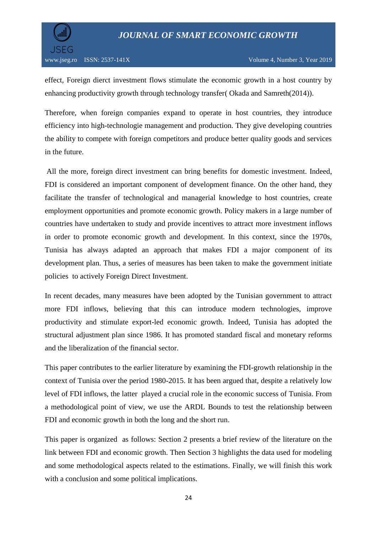

effect, Foreign dierct investment flows stimulate the economic growth in a host country by enhancing productivity growth through technology transfer( Okada and Samreth(2014)).

Therefore, when foreign companies expand to operate in host countries, they introduce efficiency into high-technologie management and production. They give developing countries the ability to compete with foreign competitors and produce better quality goods and services in the future.

All the more, foreign direct investment can bring benefits for domestic investment. Indeed, FDI is considered an important component of development finance. On the other hand, they facilitate the transfer of technological and managerial knowledge to host countries, create employment opportunities and promote economic growth. Policy makers in a large number of countries have undertaken to study and provide incentives to attract more investment inflows in order to promote economic growth and development. In this context, since the 1970s, Tunisia has always adapted an approach that makes FDI a major component of its development plan. Thus, a series of measures has been taken to make the government initiate policies to actively Foreign Direct Investment.

In recent decades, many measures have been adopted by the Tunisian government to attract more FDI inflows, believing that this can introduce modern technologies, improve productivity and stimulate export-led economic growth. Indeed, Tunisia has adopted the structural adjustment plan since 1986. It has promoted standard fiscal and monetary reforms and the liberalization of the financial sector.

This paper contributes to the earlier literature by examining the FDI-growth relationship in the context of Tunisia over the period 1980-2015. It has been argued that, despite a relatively low level of FDI inflows, the latter played a crucial role in the economic success of Tunisia. From a methodological point of view, we use the ARDL Bounds to test the relationship between FDI and economic growth in both the long and the short run.

This paper is organized as follows: Section 2 presents a brief review of the literature on the link between FDI and economic growth. Then Section 3 highlights the data used for modeling and some methodological aspects related to the estimations. Finally, we will finish this work with a conclusion and some political implications.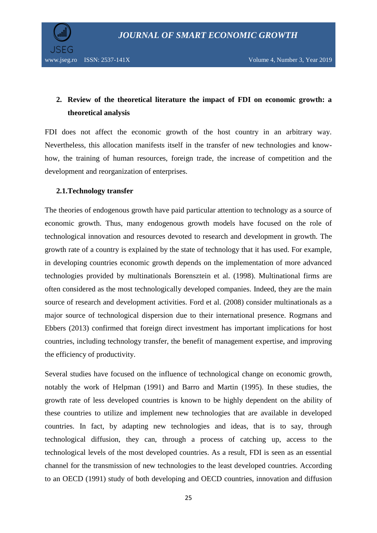

## **2. Review of the theoretical literature the impact of FDI on economic growth: a theoretical analysis**

FDI does not affect the economic growth of the host country in an arbitrary way. Nevertheless, this allocation manifests itself in the transfer of new technologies and knowhow, the training of human resources, foreign trade, the increase of competition and the development and reorganization of enterprises.

#### **2.1.Technology transfer**

The theories of endogenous growth have paid particular attention to technology as a source of economic growth. Thus, many endogenous growth models have focused on the role of technological innovation and resources devoted to research and development in growth. The growth rate of a country is explained by the state of technology that it has used. For example, in developing countries economic growth depends on the implementation of more advanced technologies provided by multinationals Borensztein et al. (1998). Multinational firms are often considered as the most technologically developed companies. Indeed, they are the main source of research and development activities. Ford et al. (2008) consider multinationals as a major source of technological dispersion due to their international presence. Rogmans and Ebbers (2013) confirmed that foreign direct investment has important implications for host countries, including technology transfer, the benefit of management expertise, and improving the efficiency of productivity.

Several studies have focused on the influence of technological change on economic growth, notably the work of Helpman (1991) and Barro and Martin (1995). In these studies, the growth rate of less developed countries is known to be highly dependent on the ability of these countries to utilize and implement new technologies that are available in developed countries. In fact, by adapting new technologies and ideas, that is to say, through technological diffusion, they can, through a process of catching up, access to the technological levels of the most developed countries. As a result, FDI is seen as an essential channel for the transmission of new technologies to the least developed countries. According to an OECD (1991) study of both developing and OECD countries, innovation and diffusion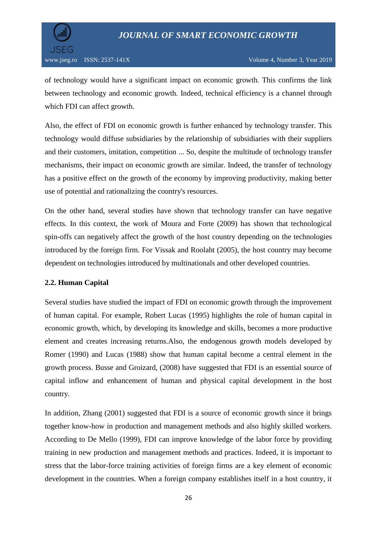



www.jseg.ro ISSN: 2537-141X Volume 4, Number 3, Year 2019

of technology would have a significant impact on economic growth. This confirms the link between technology and economic growth. Indeed, technical efficiency is a channel through which FDI can affect growth.

Also, the effect of FDI on economic growth is further enhanced by technology transfer. This technology would diffuse subsidiaries by the relationship of subsidiaries with their suppliers and their customers, imitation, competition ... So, despite the multitude of technology transfer mechanisms, their impact on economic growth are similar. Indeed, the transfer of technology has a positive effect on the growth of the economy by improving productivity, making better use of potential and rationalizing the country's resources.

On the other hand, several studies have shown that technology transfer can have negative effects. In this context, the work of Moura and Forte (2009) has shown that technological spin-offs can negatively affect the growth of the host country depending on the technologies introduced by the foreign firm. For Vissak and Roolaht (2005), the host country may become dependent on technologies introduced by multinationals and other developed countries.

#### **2.2. Human Capital**

Several studies have studied the impact of FDI on economic growth through the improvement of human capital. For example, Robert Lucas (1995) highlights the role of human capital in economic growth, which, by developing its knowledge and skills, becomes a more productive element and creates increasing returns.Also, the endogenous growth models developed by Romer (1990) and Lucas (1988) show that human capital become a central element in the growth process. Busse and Groizard, (2008) have suggested that FDI is an essential source of capital inflow and enhancement of human and physical capital development in the host country.

In addition, Zhang (2001) suggested that FDI is a source of economic growth since it brings together know-how in production and management methods and also highly skilled workers. According to De Mello (1999), FDI can improve knowledge of the labor force by providing training in new production and management methods and practices. Indeed, it is important to stress that the labor-force training activities of foreign firms are a key element of economic development in the countries. When a foreign company establishes itself in a host country, it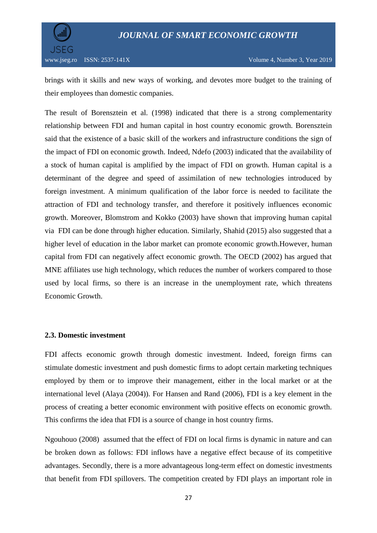

brings with it skills and new ways of working, and devotes more budget to the training of their employees than domestic companies.

The result of Borensztein et al. (1998) indicated that there is a strong complementarity relationship between FDI and human capital in host country economic growth. Borensztein said that the existence of a basic skill of the workers and infrastructure conditions the sign of the impact of FDI on economic growth. Indeed, Ndefo (2003) indicated that the availability of a stock of human capital is amplified by the impact of FDI on growth. Human capital is a determinant of the degree and speed of assimilation of new technologies introduced by foreign investment. A minimum qualification of the labor force is needed to facilitate the attraction of FDI and technology transfer, and therefore it positively influences economic growth. Moreover, Blomstrom and Kokko (2003) have shown that improving human capital via FDI can be done through higher education. Similarly, Shahid (2015) also suggested that a higher level of education in the labor market can promote economic growth.However, human capital from FDI can negatively affect economic growth. The OECD (2002) has argued that MNE affiliates use high technology, which reduces the number of workers compared to those used by local firms, so there is an increase in the unemployment rate, which threatens Economic Growth.

#### **2.3. Domestic investment**

FDI affects economic growth through domestic investment. Indeed, foreign firms can stimulate domestic investment and push domestic firms to adopt certain marketing techniques employed by them or to improve their management, either in the local market or at the international level (Alaya (2004)). For Hansen and Rand (2006), FDI is a key element in the process of creating a better economic environment with positive effects on economic growth. This confirms the idea that FDI is a source of change in host country firms.

Ngouhouo (2008) assumed that the effect of FDI on local firms is dynamic in nature and can be broken down as follows: FDI inflows have a negative effect because of its competitive advantages. Secondly, there is a more advantageous long-term effect on domestic investments that benefit from FDI spillovers. The competition created by FDI plays an important role in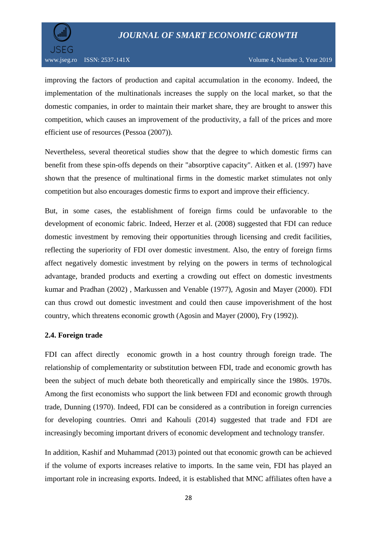

improving the factors of production and capital accumulation in the economy. Indeed, the implementation of the multinationals increases the supply on the local market, so that the domestic companies, in order to maintain their market share, they are brought to answer this competition, which causes an improvement of the productivity, a fall of the prices and more efficient use of resources (Pessoa (2007)).

Nevertheless, several theoretical studies show that the degree to which domestic firms can benefit from these spin-offs depends on their "absorptive capacity". Aitken et al. (1997) have shown that the presence of multinational firms in the domestic market stimulates not only competition but also encourages domestic firms to export and improve their efficiency.

But, in some cases, the establishment of foreign firms could be unfavorable to the development of economic fabric. Indeed, Herzer et al. (2008) suggested that FDI can reduce domestic investment by removing their opportunities through licensing and credit facilities, reflecting the superiority of FDI over domestic investment. Also, the entry of foreign firms affect negatively domestic investment by relying on the powers in terms of technological advantage, branded products and exerting a crowding out effect on domestic investments kumar and Pradhan (2002) , Markussen and Venable (1977), Agosin and Mayer (2000). FDI can thus crowd out domestic investment and could then cause impoverishment of the host country, which threatens economic growth (Agosin and Mayer (2000), Fry (1992)).

#### **2.4. Foreign trade**

FDI can affect directly economic growth in a host country through foreign trade. The relationship of complementarity or substitution between FDI, trade and economic growth has been the subject of much debate both theoretically and empirically since the 1980s. 1970s. Among the first economists who support the link between FDI and economic growth through trade, Dunning (1970). Indeed, FDI can be considered as a contribution in foreign currencies for developing countries. Omri and Kahouli (2014) suggested that trade and FDI are increasingly becoming important drivers of economic development and technology transfer.

In addition, Kashif and Muhammad (2013) pointed out that economic growth can be achieved if the volume of exports increases relative to imports. In the same vein, FDI has played an important role in increasing exports. Indeed, it is established that MNC affiliates often have a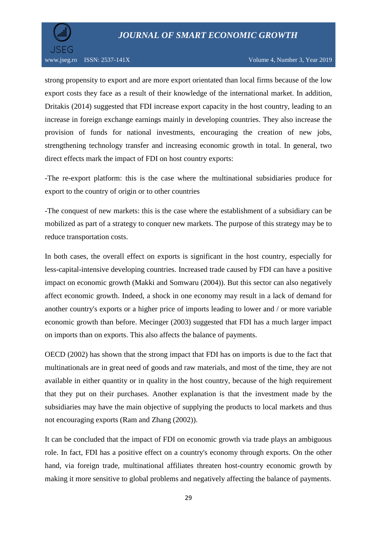

strong propensity to export and are more export orientated than local firms because of the low export costs they face as a result of their knowledge of the international market. In addition, Dritakis (2014) suggested that FDI increase export capacity in the host country, leading to an increase in foreign exchange earnings mainly in developing countries. They also increase the provision of funds for national investments, encouraging the creation of new jobs, strengthening technology transfer and increasing economic growth in total. In general, two direct effects mark the impact of FDI on host country exports:

-The re-export platform: this is the case where the multinational subsidiaries produce for export to the country of origin or to other countries

-The conquest of new markets: this is the case where the establishment of a subsidiary can be mobilized as part of a strategy to conquer new markets. The purpose of this strategy may be to reduce transportation costs.

In both cases, the overall effect on exports is significant in the host country, especially for less-capital-intensive developing countries. Increased trade caused by FDI can have a positive impact on economic growth (Makki and Somwaru (2004)). But this sector can also negatively affect economic growth. Indeed, a shock in one economy may result in a lack of demand for another country's exports or a higher price of imports leading to lower and / or more variable economic growth than before. Mecinger (2003) suggested that FDI has a much larger impact on imports than on exports. This also affects the balance of payments.

OECD (2002) has shown that the strong impact that FDI has on imports is due to the fact that multinationals are in great need of goods and raw materials, and most of the time, they are not available in either quantity or in quality in the host country, because of the high requirement that they put on their purchases. Another explanation is that the investment made by the subsidiaries may have the main objective of supplying the products to local markets and thus not encouraging exports (Ram and Zhang (2002)).

It can be concluded that the impact of FDI on economic growth via trade plays an ambiguous role. In fact, FDI has a positive effect on a country's economy through exports. On the other hand, via foreign trade, multinational affiliates threaten host-country economic growth by making it more sensitive to global problems and negatively affecting the balance of payments.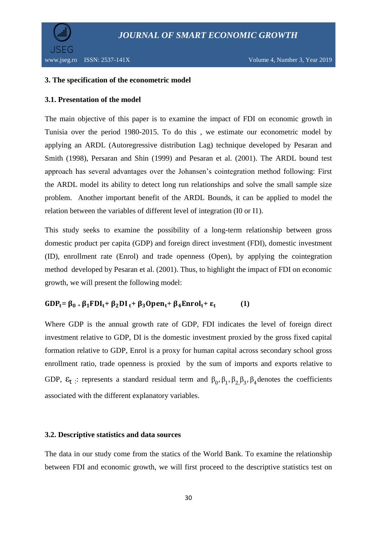

#### **3. The specification of the econometric model**

#### **3.1. Presentation of the model**

The main objective of this paper is to examine the impact of FDI on economic growth in Tunisia over the period 1980-2015. To do this , we estimate our econometric model by applying an ARDL (Autoregressive distribution Lag) technique developed by Pesaran and Smith (1998), Persaran and Shin (1999) and Pesaran et al. (2001). The ARDL bound test approach has several advantages over the Johansen's cointegration method following: First the ARDL model its ability to detect long run relationships and solve the small sample size problem. Another important benefit of the ARDL Bounds, it can be applied to model the relation between the variables of different level of integration (I0 or I1).

This study seeks to examine the possibility of a long-term relationship between gross domestic product per capita (GDP) and foreign direct investment (FDI), domestic investment (ID), enrollment rate (Enrol) and trade openness (Open), by applying the cointegration method developed by Pesaran et al. (2001). Thus, to highlight the impact of FDI on economic growth, we will present the following model:

#### $GDP_t = \beta_0 + \beta_1 FDI_t + \beta_2 DI_t + \beta_3 Open_t + \beta_4 Enrol_t + \epsilon_t$  **(1)**

Where GDP is the annual growth rate of GDP, FDI indicates the level of foreign direct investment relative to GDP, DI is the domestic investment proxied by the gross fixed capital formation relative to GDP, Enrol is a proxy for human capital across secondary school gross enrollment ratio, trade openness is proxied by the sum of imports and exports relative to GDP,  $\varepsilon_t$ : represents a standard residual term and  $\beta_0$ ,  $\beta_1$ ,  $\beta_2$ ,  $\beta_3$ ,  $\beta_4$  denotes the coefficients associated with the different explanatory variables.

#### **3.2. Descriptive statistics and data sources**

The data in our study come from the statics of the World Bank. To examine the relationship between FDI and economic growth, we will first proceed to the descriptive statistics test on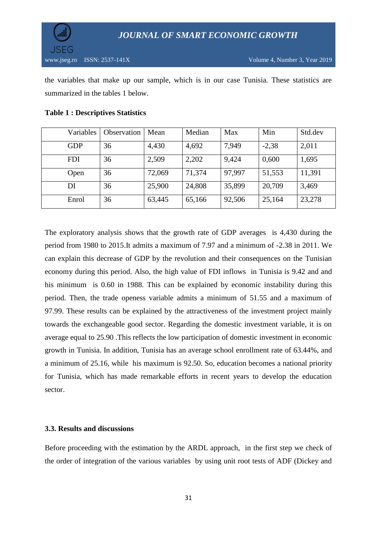the variables that make up our sample, which is in our case Tunisia. These statistics are summarized in the tables 1 below.

| Variables  | Observation | Mean   | Median | Max    | Min     | Std.dev |
|------------|-------------|--------|--------|--------|---------|---------|
| <b>GDP</b> | 36          | 4,430  | 4,692  | 7,949  | $-2,38$ | 2,011   |
| <b>FDI</b> | 36          | 2,509  | 2,202  | 9,424  | 0,600   | 1,695   |
| Open       | 36          | 72,069 | 71,374 | 97,997 | 51,553  | 11,391  |
| DI         | 36          | 25,900 | 24,808 | 35,899 | 20,709  | 3,469   |
| Enrol      | 36          | 63,445 | 65,166 | 92,506 | 25,164  | 23,278  |

#### **Table 1 : Descriptives Statistics**

The exploratory analysis shows that the growth rate of GDP averages is 4,430 during the period from 1980 to 2015.It admits a maximum of 7.97 and a minimum of -2.38 in 2011. We can explain this decrease of GDP by the revolution and their consequences on the Tunisian economy during this period. Also, the high value of FDI inflows in Tunisia is 9.42 and and his minimum is 0.60 in 1988. This can be explained by economic instability during this period. Then, the trade openess variable admits a minimum of 51.55 and a maximum of 97.99. These results can be explained by the attractiveness of the investment project mainly towards the exchangeable good sector. Regarding the domestic investment variable, it is on average equal to 25.90 .This reflects the low participation of domestic investment in economic growth in Tunisia. In addition, Tunisia has an average school enrollment rate of 63.44%, and a minimum of 25.16, while his maximum is 92.50. So, education becomes a national priority for Tunisia, which has made remarkable efforts in recent years to develop the education sector.

#### **3.3. Results and discussions**

Before proceeding with the estimation by the ARDL approach, in the first step we check of the order of integration of the various variables by using unit root tests of ADF (Dickey and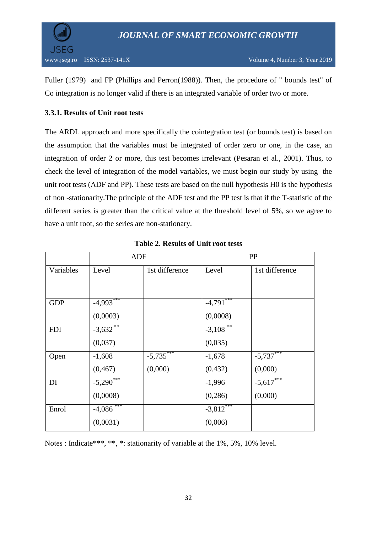

Fuller (1979) and FP (Phillips and Perron(1988)). Then, the procedure of " bounds test" of Co integration is no longer valid if there is an integrated variable of order two or more.

#### **3.3.1. Results of Unit root tests**

The ARDL approach and more specifically the cointegration test (or bounds test) is based on the assumption that the variables must be integrated of order zero or one, in the case, an integration of order 2 or more, this test becomes irrelevant (Pesaran et al., 2001). Thus, to check the level of integration of the model variables, we must begin our study by using the unit root tests (ADF and PP). These tests are based on the null hypothesis H0 is the hypothesis of non -stationarity.The principle of the ADF test and the PP test is that if the T-statistic of the different series is greater than the critical value at the threshold level of 5%, so we agree to have a unit root, so the series are non-stationary.

|            | <b>ADF</b>   |                | <b>PP</b>              |                |  |
|------------|--------------|----------------|------------------------|----------------|--|
| Variables  | Level        | 1st difference | Level                  | 1st difference |  |
|            |              |                |                        |                |  |
|            |              |                |                        |                |  |
| <b>GDP</b> | $-4,993$     |                | $-4,791***$            |                |  |
|            | (0,0003)     |                | (0,0008)               |                |  |
| <b>FDI</b> | $-3,632$     |                | $-3,108$ <sup>**</sup> |                |  |
|            | (0,037)      |                | (0,035)                |                |  |
| Open       | $-1,608$     | $-5,735***$    | $-1,678$               | $-5,737***$    |  |
|            | (0, 467)     | (0,000)        | (0.432)                | (0,000)        |  |
| DI         | $-5,290***$  |                | $-1,996$               | $-5,617***$    |  |
|            | (0,0008)     |                | (0, 286)               | (0,000)        |  |
| Enrol      | $-4,086$ *** |                | $-3,812***$            |                |  |
|            | (0,0031)     |                | (0,006)                |                |  |

| <b>Table 2. Results of Unit root tests</b> |
|--------------------------------------------|
|--------------------------------------------|

Notes : Indicate\*\*\*, \*\*, \*: stationarity of variable at the 1%, 5%, 10% level.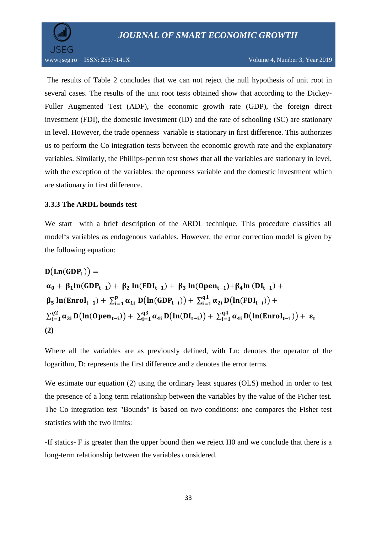

www.jseg.ro ISSN: 2537-141X Volume 4, Number 3, Year 2019

The results of Table 2 concludes that we can not reject the null hypothesis of unit root in several cases. The results of the unit root tests obtained show that according to the Dickey-Fuller Augmented Test (ADF), the economic growth rate (GDP), the foreign direct investment (FDI), the domestic investment (ID) and the rate of schooling (SC) are stationary in level. However, the trade openness variable is stationary in first difference. This authorizes us to perform the Co integration tests between the economic growth rate and the explanatory variables. Similarly, the Phillips-perron test shows that all the variables are stationary in level, with the exception of the variables: the openness variable and the domestic investment which are stationary in first difference.

#### **3.3.3 The ARDL bounds test**

We start with a brief description of the ARDL technique. This procedure classifies all model's variables as endogenous variables. However, the error correction model is given by the following equation:

$$
D(Ln(GDP_t)) =
$$
  
\n
$$
\alpha_0 + \beta_1 ln(GDP_{t-1}) + \beta_2 ln(FDI_{t-1}) + \beta_3 ln(Open_{t-1}) + \beta_4 ln(DI_{t-1}) +
$$
  
\n
$$
\beta_5 ln(Enrol_{t-1}) + \sum_{i=1}^{p} \alpha_{1i} D(ln(GDP_{t-i})) + \sum_{i=1}^{q1} \alpha_{2i} D(ln(FDI_{t-i})) +
$$
  
\n
$$
\sum_{i=1}^{q2} \alpha_{3i} D(ln(Open_{t-i})) + \sum_{i=1}^{q3} \alpha_{4i} D(ln(DI_{t-i})) + \sum_{i=1}^{q4} \alpha_{4i} D(ln(Enrol_{t-1})) + \epsilon_t
$$
  
\n(2)

Where all the variables are as previously defined, with Ln: denotes the operator of the logarithm, D: represents the first difference and ɛ denotes the error terms.

We estimate our equation (2) using the ordinary least squares (OLS) method in order to test the presence of a long term relationship between the variables by the value of the Ficher test. The Co integration test "Bounds" is based on two conditions: one compares the Fisher test statistics with the two limits:

-If statics- F is greater than the upper bound then we reject H0 and we conclude that there is a long-term relationship between the variables considered.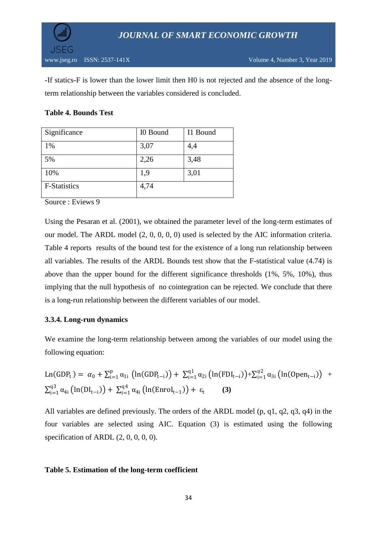

-If statics-F is lower than the lower limit then H0 is not rejected and the absence of the longterm relationship between the variables considered is concluded.

#### **Table 4. Bounds Test**

| Significance        | I0 Bound | I1 Bound |
|---------------------|----------|----------|
| 1%                  | 3,07     | 4,4      |
| 5%                  | 2,26     | 3,48     |
| 10%                 | 1,9      | 3,01     |
| <b>F-Statistics</b> | 4,74     |          |

Source : Eviews 9

Using the Pesaran et al. (2001), we obtained the parameter level of the long-term estimates of our model. The ARDL model (2, 0, 0, 0, 0) used is selected by the AIC information criteria. Table 4 reports results of the bound test for the existence of a long run relationship between all variables. The results of the ARDL Bounds test show that the F-statistical value (4.74) is above than the upper bound for the different significance thresholds (1%, 5%, 10%), thus implying that the null hypothesis of no cointegration can be rejected. We conclude that there is a long-run relationship between the different variables of our model.

### **3.3.4. Long-run dynamics**

We examine the long-term relationship between among the variables of our model using the following equation:

$$
Ln(GDP_t) = \alpha_0 + \sum_{i=1}^{p} \alpha_{1i} \left( ln(GDP_{t-i}) \right) + \sum_{i=1}^{q1} \alpha_{2i} \left( ln(FDI_{t-i}) \right) + \sum_{i=1}^{q2} \alpha_{3i} \left( ln(Open_{t-i}) \right) + \sum_{i=1}^{q3} \alpha_{4i} \left( ln(DI_{t-i}) \right) + \sum_{i=1}^{q4} \alpha_{4i} \left( ln(Enrol_{t-1}) \right) + \epsilon_t
$$
 (3)

All variables are defined previously. The orders of the ARDL model (p, q1, q2, q3, q4) in the four variables are selected using AIC. Equation (3) is estimated using the following specification of ARDL  $(2, 0, 0, 0, 0)$ .

#### **Table 5. Estimation of the long-term coefficient**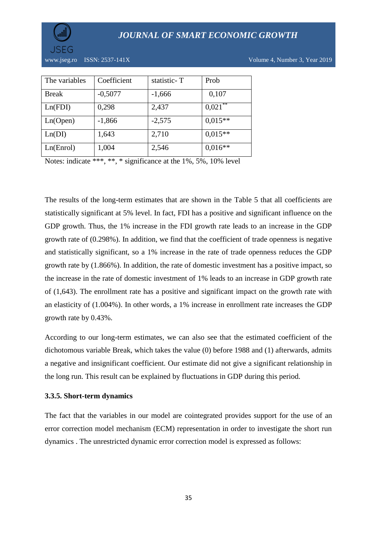



www.jseg.ro ISSN: 2537-141X Volume 4, Number 3, Year 2019

| The variables | Coefficient | statistic-T | Prob        |
|---------------|-------------|-------------|-------------|
| <b>Break</b>  | $-0,5077$   | $-1,666$    | 0,107       |
| Ln(FDI)       | 0,298       | 2,437       | **<br>0,021 |
| Ln(Open)      | $-1,866$    | $-2,575$    | $0,015**$   |
| Ln(DI)        | 1,643       | 2,710       | $0.015**$   |
| Ln(Enrol)     | 1,004       | 2,546       | $0,016**$   |

Notes: indicate \*\*\*, \*\*, \* significance at the 1%, 5%, 10% level

The results of the long-term estimates that are shown in the Table 5 that all coefficients are statistically significant at 5% level. In fact, FDI has a positive and significant influence on the GDP growth. Thus, the 1% increase in the FDI growth rate leads to an increase in the GDP growth rate of (0.298%). In addition, we find that the coefficient of trade openness is negative and statistically significant, so a 1% increase in the rate of trade openness reduces the GDP growth rate by (1.866%). In addition, the rate of domestic investment has a positive impact, so the increase in the rate of domestic investment of 1% leads to an increase in GDP growth rate of (1,643). The enrollment rate has a positive and significant impact on the growth rate with an elasticity of (1.004%). In other words, a 1% increase in enrollment rate increases the GDP growth rate by 0.43%.

According to our long-term estimates, we can also see that the estimated coefficient of the dichotomous variable Break, which takes the value (0) before 1988 and (1) afterwards, admits a negative and insignificant coefficient. Our estimate did not give a significant relationship in the long run. This result can be explained by fluctuations in GDP during this period.

#### **3.3.5. Short-term dynamics**

The fact that the variables in our model are cointegrated provides support for the use of an error correction model mechanism (ECM) representation in order to investigate the short run dynamics . The unrestricted dynamic error correction model is expressed as follows: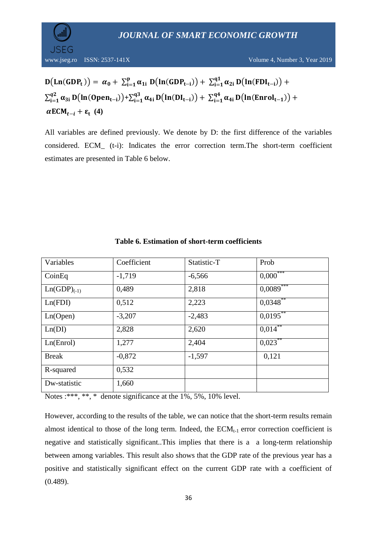

www.jseg.ro ISSN: 2537-141X Volume 4, Number 3, Year 2019

$$
D(Ln(GDP_t)) = \alpha_0 + \sum_{i=1}^p \alpha_{1i} D(ln(GDP_{t-i})) + \sum_{i=1}^{q1} \alpha_{2i} D(ln(FDI_{t-i})) + \sum_{i=1}^{q2} \alpha_{3i} D(ln(Open_{t-i})) + \sum_{i=1}^{q3} \alpha_{4i} D(ln(DI_{t-i})) + \sum_{i=1}^{q4} \alpha_{4i} D(ln(Enrol_{t-1})) + \alpha ECM_{t-i} + \epsilon_t
$$
 (4)

All variables are defined previously. We denote by D: the first difference of the variables considered. ECM\_ (t-i): Indicates the error correction term.The short-term coefficient estimates are presented in Table 6 below.

| Variables        | Coefficient | Statistic-T | Prob                   |
|------------------|-------------|-------------|------------------------|
| CoinEq           | $-1,719$    | $-6,566$    | $0,000$ <sup>***</sup> |
| $Ln(GDP)_{(-1)}$ | 0,489       | 2,818       | $0,0089$ ***           |
| Ln(FDI)          | 0,512       | 2,223       | $0,0348$ **            |
| Ln(Open)         | $-3,207$    | $-2,483$    | $0,0195$ **            |
| Ln(DI)           | 2,828       | 2,620       | $0.014***$             |
| Ln(Enrol)        | 1,277       | 2,404       | $0,023$ **             |
| <b>Break</b>     | $-0,872$    | $-1,597$    | 0,121                  |
| R-squared        | 0,532       |             |                        |
| Dw-statistic     | 1,660       |             |                        |

#### **Table 6. Estimation of short-term coefficients**

Notes :\*\*\*, \*\*, \* denote significance at the 1%, 5%, 10% level.

However, according to the results of the table, we can notice that the short-term results remain almost identical to those of the long term. Indeed, the  $ECM_{t-1}$  error correction coefficient is negative and statistically significant..This implies that there is a a long-term relationship between among variables. This result also shows that the GDP rate of the previous year has a positive and statistically significant effect on the current GDP rate with a coefficient of (0.489).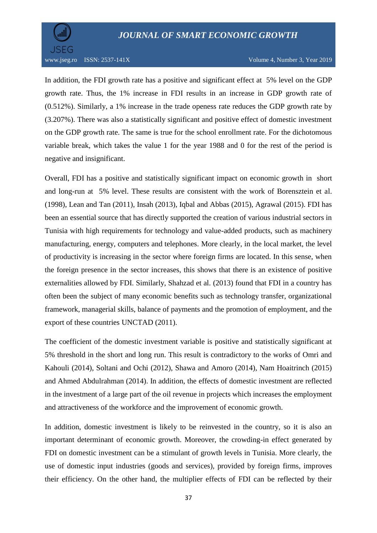

In addition, the FDI growth rate has a positive and significant effect at 5% level on the GDP growth rate. Thus, the 1% increase in FDI results in an increase in GDP growth rate of (0.512%). Similarly, a 1% increase in the trade openess rate reduces the GDP growth rate by (3.207%). There was also a statistically significant and positive effect of domestic investment on the GDP growth rate. The same is true for the school enrollment rate. For the dichotomous variable break, which takes the value 1 for the year 1988 and 0 for the rest of the period is negative and insignificant.

Overall, FDI has a positive and statistically significant impact on economic growth in short and long-run at 5% level. These results are consistent with the work of Borensztein et al. (1998), Lean and Tan (2011), Insah (2013), Iqbal and Abbas (2015), Agrawal (2015). FDI has been an essential source that has directly supported the creation of various industrial sectors in Tunisia with high requirements for technology and value-added products, such as machinery manufacturing, energy, computers and telephones. More clearly, in the local market, the level of productivity is increasing in the sector where foreign firms are located. In this sense, when the foreign presence in the sector increases, this shows that there is an existence of positive externalities allowed by FDI. Similarly, Shahzad et al. (2013) found that FDI in a country has often been the subject of many economic benefits such as technology transfer, organizational framework, managerial skills, balance of payments and the promotion of employment, and the export of these countries UNCTAD (2011).

The coefficient of the domestic investment variable is positive and statistically significant at 5% threshold in the short and long run. This result is contradictory to the works of Omri and Kahouli (2014), Soltani and Ochi (2012), Shawa and Amoro (2014), Nam Hoaitrinch (2015) and Ahmed Abdulrahman (2014). In addition, the effects of domestic investment are reflected in the investment of a large part of the oil revenue in projects which increases the employment and attractiveness of the workforce and the improvement of economic growth.

In addition, domestic investment is likely to be reinvested in the country, so it is also an important determinant of economic growth. Moreover, the crowding-in effect generated by FDI on domestic investment can be a stimulant of growth levels in Tunisia. More clearly, the use of domestic input industries (goods and services), provided by foreign firms, improves their efficiency. On the other hand, the multiplier effects of FDI can be reflected by their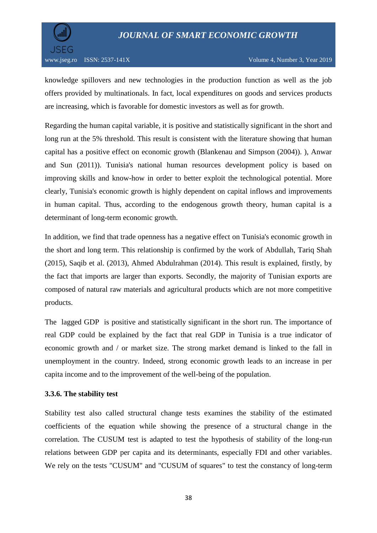

knowledge spillovers and new technologies in the production function as well as the job offers provided by multinationals. In fact, local expenditures on goods and services products are increasing, which is favorable for domestic investors as well as for growth.

Regarding the human capital variable, it is positive and statistically significant in the short and long run at the 5% threshold. This result is consistent with the literature showing that human capital has a positive effect on economic growth (Blankenau and Simpson (2004)). ), Anwar and Sun (2011)). Tunisia's national human resources development policy is based on improving skills and know-how in order to better exploit the technological potential. More clearly, Tunisia's economic growth is highly dependent on capital inflows and improvements in human capital. Thus, according to the endogenous growth theory, human capital is a determinant of long-term economic growth.

In addition, we find that trade openness has a negative effect on Tunisia's economic growth in the short and long term. This relationship is confirmed by the work of Abdullah, Tariq Shah (2015), Saqib et al. (2013), Ahmed Abdulrahman (2014). This result is explained, firstly, by the fact that imports are larger than exports. Secondly, the majority of Tunisian exports are composed of natural raw materials and agricultural products which are not more competitive products.

The lagged GDP is positive and statistically significant in the short run. The importance of real GDP could be explained by the fact that real GDP in Tunisia is a true indicator of economic growth and / or market size. The strong market demand is linked to the fall in unemployment in the country. Indeed, strong economic growth leads to an increase in per capita income and to the improvement of the well-being of the population.

#### **3.3.6. The stability test**

Stability test also called structural change tests examines the stability of the estimated coefficients of the equation while showing the presence of a structural change in the correlation. The CUSUM test is adapted to test the hypothesis of stability of the long-run relations between GDP per capita and its determinants, especially FDI and other variables. We rely on the tests "CUSUM" and "CUSUM of squares" to test the constancy of long-term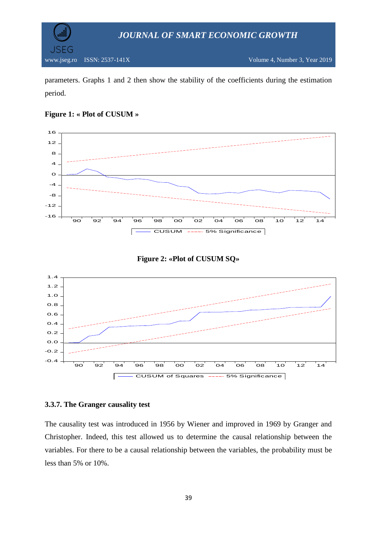

parameters. Graphs 1 and 2 then show the stability of the coefficients during the estimation period.









#### **3.3.7. The Granger causality test**

The causality test was introduced in 1956 by Wiener and improved in 1969 by Granger and Christopher. Indeed, this test allowed us to determine the causal relationship between the variables. For there to be a causal relationship between the variables, the probability must be less than 5% or 10%.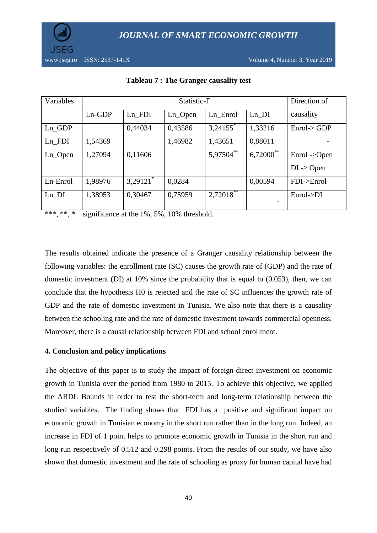

| Variables  | Statistic-F |                        |            |                        | Direction of                |                       |
|------------|-------------|------------------------|------------|------------------------|-----------------------------|-----------------------|
|            | $Ln-GDP$    | $Ln_FDI$               | $Ln\_Open$ | Ln_Enrol               | $Ln$ $DI$                   | causality             |
| $Ln_GDP$   |             | 0,44034                | 0,43586    | $3,24155$ <sup>*</sup> | 1,33216                     | Enrol > GDP           |
| $Ln_FDI$   | 1,54369     |                        | 1,46982    | 1,43651                | 0,88011                     |                       |
| $Ln\_Open$ | 1,27094     | 0,11606                |            | $5,97504$ **           | $6{,}720\overline{00}^{**}$ | Enrol <sub>&gt;</sub> |
|            |             |                        |            |                        |                             | $DI \rightarrow Open$ |
| Ln-Enrol   | 1,98976     | $3,29121$ <sup>*</sup> | 0,0284     |                        | 0,00594                     | $FDI->Enrol$          |
| $Ln$ $DI$  | 1,38953     | 0,30467                | 0,75959    | $2,72018$ **           |                             | Enrol >DI             |
|            |             |                        |            |                        |                             |                       |

**Tableau 7 : The Granger causality test**

\*\*\*, \*\*, \* significance at the 1%, 5%, 10% threshold.

The results obtained indicate the presence of a Granger causality relationship between the following variables: the enrollment rate (SC) causes the growth rate of (GDP) and the rate of domestic investment (DI) at 10% since the probability that is equal to (0.053), then, we can conclude that the hypothesis H0 is rejected and the rate of SC influences the growth rate of GDP and the rate of domestic investment in Tunisia. We also note that there is a causality between the schooling rate and the rate of domestic investment towards commercial openness. Moreover, there is a causal relationship between FDI and school enrollment.

#### **4. Conclusion and policy implications**

The objective of this paper is to study the impact of foreign direct investment on economic growth in Tunisia over the period from 1980 to 2015. To achieve this objective, we applied the ARDL Bounds in order to test the short-term and long-term relationship between the studied variables. The finding shows that FDI has a positive and significant impact on economic growth in Tunisian economy in the short run rather than in the long run. Indeed, an increase in FDI of 1 point helps to promote economic growth in Tunisia in the short run and long run respectively of 0.512 and 0.298 points. From the results of our study, we have also shown that domestic investment and the rate of schooling as proxy for human capital have had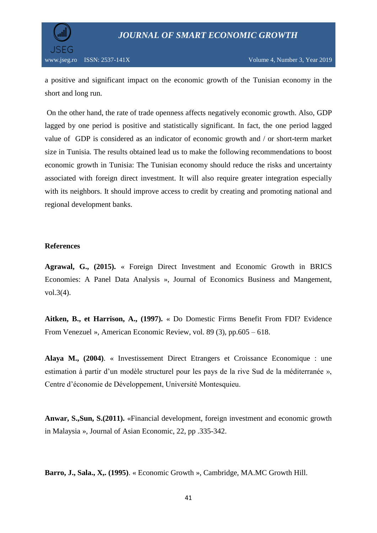

a positive and significant impact on the economic growth of the Tunisian economy in the short and long run.

On the other hand, the rate of trade openness affects negatively economic growth. Also, GDP lagged by one period is positive and statistically significant. In fact, the one period lagged value of GDP is considered as an indicator of economic growth and / or short-term market size in Tunisia. The results obtained lead us to make the following recommendations to boost economic growth in Tunisia: The Tunisian economy should reduce the risks and uncertainty associated with foreign direct investment. It will also require greater integration especially with its neighbors. It should improve access to credit by creating and promoting national and regional development banks.

#### **References**

**Agrawal, G., (2015).** « Foreign Direct Investment and Economic Growth in BRICS Economies: A Panel Data Analysis », Journal of Economics Business and Mangement, vol.3(4).

**Aitken, B., et Harrison, A., (1997).** « Do Domestic Firms Benefit From FDI? Evidence From Venezuel », American Economic Review, vol. 89 (3), pp.605 – 618.

**Alaya M., (2004)**. « Investissement Direct Etrangers et Croissance Economique : une estimation à partir d'un modèle structurel pour les pays de la rive Sud de la méditerranée », Centre d'économie de Développement, Université Montesquieu.

**Anwar, S.,Sun, S.(2011).** «Financial development, foreign investment and economic growth in Malaysia », Journal of Asian Economic, 22, pp .335-342.

**Barro, J., Sala., X,. (1995)**. « Economic Growth », Cambridge, MA.MC Growth Hill.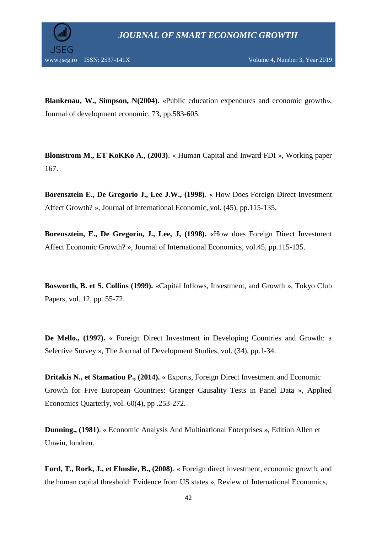**Blankenau, W., Simpson, N(2004).** «Public education expendures and economic growth», Journal of development economic, 73, pp.583-605.

**Blomstrom M., ET KoKKo A., (2003)**. « Human Capital and Inward FDI », Working paper 167.

**Borensztein E., De Gregorio J., Lee J.W., (1998)**. « How Does Foreign Direct Investment Affect Growth? », Journal of International Economic, vol. (45), pp.115-135.

**Borensztein, E., De Gregorio, J., Lee, J, (1998).** «How does Foreign Direct Investment Affect Economic Growth? », Journal of International Economics, vol.45, pp.115-135.

**Bosworth, B. et S. Collins (1999).** «Capital Inflows, Investment, and Growth », Tokyo Club Papers, vol. 12, pp. 55-72.

**De Mello., (1997).** « Foreign Direct Investment in Developing Countries and Growth: a Selective Survey », The Journal of Development Studies, vol. (34), pp.1-34.

**Dritakis N., et Stamatiou P., (2014).** « Exports, Foreign Direct Investment and Economic Growth for Five European Countries: Granger Causality Tests in Panel Data », Applied Economics Quarterly, vol. 60(4), pp .253-272.

**Dunning., (1981)**. « Economic Analysis And Multinational Enterprises », Edition Allen et Unwin, londren.

**Ford, T., Rork, J., et Elmslie, B., (2008)**. « Foreign direct investment, economic growth, and the human capital threshold: Evidence from US states », Review of International Economics,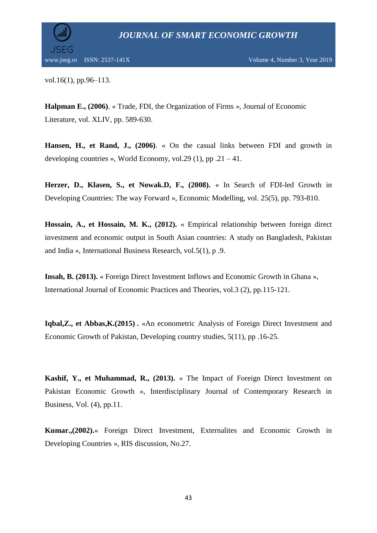

vol.16(1), pp.96–113.

**Halpman E., (2006)**. « Trade, FDI, the Organization of Firms », Journal of Economic Literature, vol. XLIV, pp. 589-630.

**Hansen, H., et Rand, J., (2006)**. « On the casual links between FDI and growth in developing countries », World Economy, vol. 29 (1), pp  $.21 - 41$ .

**Herzer, D., Klasen, S., et Nowak.D, F., (2008).** « In Search of FDI-led Growth in Developing Countries: The way Forward », Economic Modelling*,* vol. 25(5), pp. 793-810.

**Hossain, A., et Hossain, M. K., (2012).** « Empirical relationship between foreign direct investment and economic output in South Asian countries: A study on Bangladesh, Pakistan and India », International Business Research, vol.5(1), p .9.

**Insah, B. (2013).** « Foreign Direct Investment Inflows and Economic Growth in Ghana », International Journal of Economic Practices and Theories, vol.3 (2), pp.115-121.

**Iqbal,Z., et Abbas,K.(2015) .** «An econometric Analysis of Foreign Direct Investment and Economic Growth of Pakistan, Developing country studies, 5(11), pp .16-25.

**Kashif, Y., et Muhammad, R., (2013).** « The Impact of Foreign Direct Investment on Pakistan Economic Growth », Interdisciplinary Journal of Contemporary Research in Business, Vol. (4), pp.11.

**Kumar.,(2002).**« Foreign Direct Investment, Externalites and Economic Growth in Developing Countries », RIS discussion, No.27.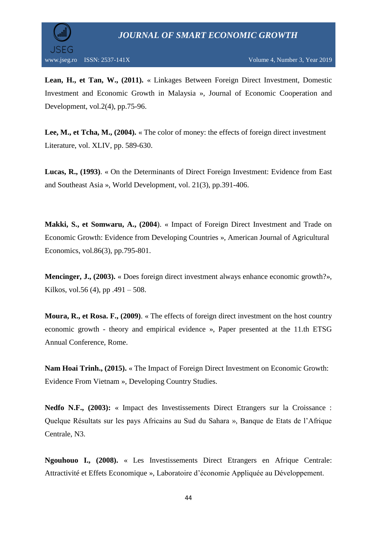



**Lean, H., et Tan, W., (2011).** « Linkages Between Foreign Direct Investment, Domestic Investment and Economic Growth in Malaysia », Journal of Economic Cooperation and Development, vol.2(4), pp.75-96.

**Lee, M., et Tcha, M., (2004).** « The color of money: the effects of foreign direct investment Literature, vol. XLIV, pp. 589-630.

**Lucas, R., (1993)**. « On the Determinants of Direct Foreign Investment: Evidence from East and Southeast Asia », World Development, vol. 21(3), pp.391-406.

**Makki, S., et Somwaru, A., (2004**). « Impact of Foreign Direct Investment and Trade on Economic Growth: Evidence from Developing Countries », American Journal of Agricultural Economics, vol.86(3), pp.795-801.

**Mencinger, J., (2003).** « Does foreign direct investment always enhance economic growth?», Kilkos, vol.56 $(4)$ , pp  $.491 - 508$ .

**Moura, R., et Rosa. F., (2009)**. « The effects of foreign direct investment on the host country economic growth - theory and empirical evidence », Paper presented at the 11.th ETSG Annual Conference, Rome.

**Nam Hoai Trinh., (2015).** « The Impact of Foreign Direct Investment on Economic Growth: Evidence From Vietnam », Developing Country Studies.

**Nedfo N.F., (2003):** « Impact des Investissements Direct Etrangers sur la Croissance : Quelque Résultats sur les pays Africains au Sud du Sahara », Banque de Etats de l'Afrique Centrale, N3.

**Ngouhouo I., (2008).** « Les Investissements Direct Etrangers en Afrique Centrale: Attractivité et Effets Economique », Laboratoire d'économie Appliquée au Développement.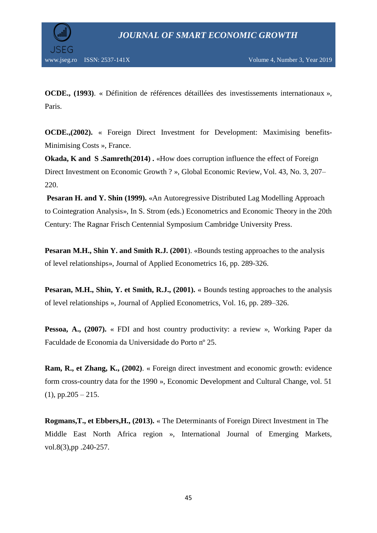

**OCDE., (1993)**. « Définition de références détaillées des investissements internationaux », Paris.

**OCDE.,(2002).** « Foreign Direct Investment for Development: Maximising benefits-Minimising Costs », France.

**Okada, K and S .Samreth(2014) .** «How does corruption influence the effect of Foreign Direct Investment on Economic Growth ? », Global Economic Review, Vol. 43, No. 3, 207– 220.

**Pesaran H. and Y. Shin (1999).** «An Autoregressive Distributed Lag Modelling Approach to Cointegration Analysis», In S. Strom (eds.) Econometrics and Economic Theory in the 20th Century: The Ragnar Frisch Centennial Symposium Cambridge University Press.

**Pesaran M.H., Shin Y. and Smith R.J. (2001**). «Bounds testing approaches to the analysis of level relationships», Journal of Applied Econometrics 16, pp. 289-326.

**Pesaran, M.H., Shin, Y. et Smith, R.J., (2001).** « Bounds testing approaches to the analysis of level relationships », Journal of Applied Econometrics, Vol. 16, pp. 289–326.

**Pessoa, A., (2007).** « FDI and host country productivity: a review », Working Paper da Faculdade de Economia da Universidade do Porto nº 25.

**Ram, R., et Zhang, K., (2002)**. « Foreign direct investment and economic growth: evidence form cross-country data for the 1990 », Economic Development and Cultural Change, vol. 51  $(1)$ , pp.205 – 215.

**Rogmans,T., et Ebbers,H., (2013).** « The Determinants of Foreign Direct Investment in The Middle East North Africa region », International Journal of Emerging Markets, vol.8(3),pp .240-257.